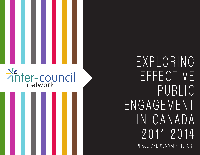# Pinter-council

**PHASE ONE SUMMARY REPORT EXPLORING EFFECTIVE PUBLIC ENGAGEMENT IN CANADA 2011-2014**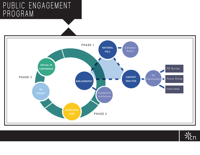#### **PUBLIC ENGAGEMENT PROGRAM**



 $\frac{1}{2}$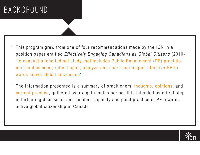## **BACKGROUND**

- This program grew from one of four recommendations made by the ICN in a position paper entitled *Effectively Engaging Canadians as Global Citizens* (2010) "to conduct a longitudinal study that includes Public Engagement (PE) practitioners to document, reflect upon, analyze and share learning on effective PE towards active global citizenship"
- The information presented is a summary of pracitioners' thoughts, opinions, and current practice, gathered over eight-months period. It is intended as a first step in furthering discussion and building capacity and good practice in PE towards active global citizenship in Canada  $\bullet$

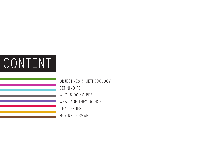# **CONTENT**

**OBJECTIVES & METHODOLOGY DEFINING PE WHO IS DOING PE? WHAT ARE THEY DOING? CHALLENGES MOVING FORWARD**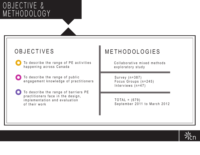#### **OBJECTIVE & METHODOLOGY**

#### OBJECTIVES

- To describe the range of PE activities happening across Canada
- To describe the range of public engagement knowledge of practitioners
- To describe the range of barriers PE practitioners face in the design, implementation and evaluation of their work

#### METHODOLOGIES

Collaborative mixed methods exploratory study

Survey (n=387) Focus Groups (n=245) Interviews (n=47)

 $TOTAL = (679)$ September 2011 to March 2012

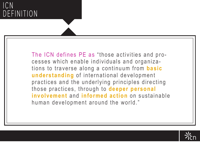#### **ICN DEFINITION**

The ICN defines PE as "those activities and processes which enable individuals and organizations to traverse along a continuum from **basic understanding** of international development practices and the underlying principles directing those practices, through to **deeper personal involvement** and **informed action** on sustainable human development around the world."

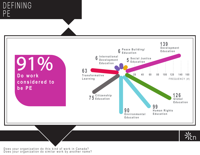#### **DEFINING P E**



Does your organization do this kind of work in Canada? Does your organization do similar work by another name?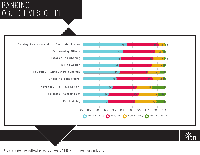#### **RANKING OBJECTIVES OF PE**



Please rate the following objectives of PE within your organization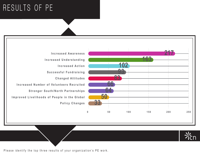# **RESULTS OF PE**





**217**

**163**

**83**

**102**

**93**

**66**

**64**

**50**

Please identify the top three results of your organization's PE work.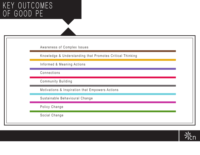#### **KEY OUTCOMES OF GOOD PE**

Awareness of Complex Issues Knowledge & Understanding that Promotes Critical Thinking Informed & Meaning Actions Connections Community Building Motivations & Inspiration that Empowers Actions Sustainable Behavioural Change Policy Change Social Change

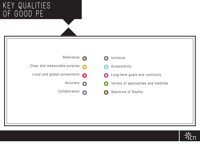#### **KEY QUALITIES OF GOOD PE**



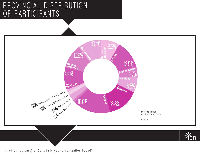#### **PROVINCIAL DISTRIBUTION OF PARTICIPANTS**



In which region(s) of Canada is your organization based?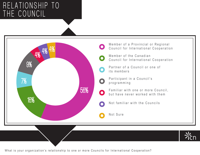#### **RELATIONSHIP TO THE COUNCIL**



What is your organization's relationship to one or more Councils for International Cooperation?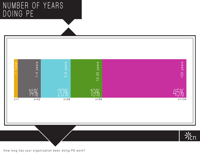#### **NUMBER OF YEARS DOING PE**



How long has your organization been doing PE work?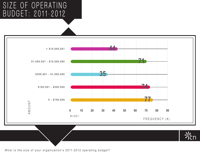#### **SIZE OF OPERATING BUDGET: 2011-2012**



What is the size of your organization's 2011-2012 operating budget?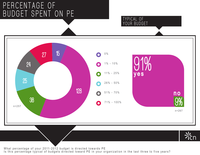#### **PERCENTAGE OF BUDGET SPENT ON PE**



**TYPICAL OF YOUR BUDGET**

What percentage of your 2011-2012 budget is directed towards PE Is this percentage typical of budgets directed toward PE in your organization in the last three to five years?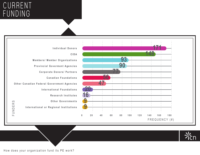#### **CURRENT FUNDING**





How does your organization fund its PE work?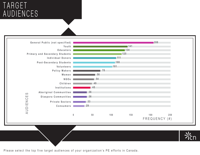#### **TARGET AUDIENCES**



Please select the top five target audiences of your organization's PE efforts in Canada.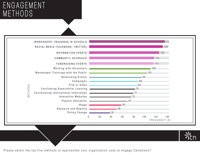#### **ENGAGEMENT METHODS**

|         | <b>WORKSHOPS/ TRAININGS IN SCHOOLS</b>                                                                                                                                                                                               |                                                                                                                |                                                                                                                                                                             |    |    |     |                      | 133 |
|---------|--------------------------------------------------------------------------------------------------------------------------------------------------------------------------------------------------------------------------------------|----------------------------------------------------------------------------------------------------------------|-----------------------------------------------------------------------------------------------------------------------------------------------------------------------------|----|----|-----|----------------------|-----|
|         | SOCIAL MEDIA (FACEBOOK, TWITTER)                                                                                                                                                                                                     |                                                                                                                |                                                                                                                                                                             |    |    |     |                      | 129 |
|         | <b>INFORMATION EVENTS</b>                                                                                                                                                                                                            |                                                                                                                |                                                                                                                                                                             |    |    |     |                      | 123 |
|         | <b>COMMUNITY OUTREACH</b>                                                                                                                                                                                                            |                                                                                                                |                                                                                                                                                                             |    |    |     | 114                  |     |
|         | <b>FUNDRAISING EVENTS</b>                                                                                                                                                                                                            |                                                                                                                | $\mathcal{L}^{\text{max}}_{\text{max}}$ and $\mathcal{L}^{\text{max}}_{\text{max}}$ and $\mathcal{L}^{\text{max}}_{\text{max}}$ and $\mathcal{L}^{\text{max}}_{\text{max}}$ |    |    |     | 113                  |     |
|         | Working with Volunteers <b>Constitution</b> 108                                                                                                                                                                                      |                                                                                                                |                                                                                                                                                                             |    |    |     |                      |     |
|         | Workshops/ Trainings with the Public <b>Community and Contact Contract of the Contract Oriental Contract Oriental Contract Oriental Contract Oriental Contract Oriental Contract Oriental Contract Oriental Contract Oriental Co</b> |                                                                                                                |                                                                                                                                                                             |    |    |     | $-101$               |     |
|         |                                                                                                                                                                                                                                      | Networking Events 2008 and 2008 and 2008 and 2008 and 2008 and 2008 and 2008 and 2008 and 2008 and 2008 and 20 |                                                                                                                                                                             |    |    |     |                      |     |
|         | $Campaigns =$                                                                                                                                                                                                                        |                                                                                                                |                                                                                                                                                                             |    |    |     |                      |     |
| S       | Film or Video 2008 and 2009 and 2009 and 2009 and 2009 and 2009 and 2009 and 2009 and 2009 and 2009 and 2009 and 2009 and 2009 and 2009 and 2009 and 2009 and 2009 and 2009 and 2009 and 2009 and 2009 and 2009 and 2009 and 2       |                                                                                                                |                                                                                                                                                                             |    |    |     |                      |     |
| $\odot$ | Facilitating Experiential Learning <b>Constitution</b> 29                                                                                                                                                                            |                                                                                                                |                                                                                                                                                                             |    |    |     |                      |     |
| METH    | Coordinating International Internships <b>Engineering Coordinating</b> 77                                                                                                                                                            |                                                                                                                |                                                                                                                                                                             |    |    |     |                      |     |
|         | Interactive Websites <b>Exercísion Contract of Australian Contract of Australian Contract of Australian Contract of Australian Contract of Australian Contract of Australian Contract of Australian Contract of Australian Contr</b> |                                                                                                                |                                                                                                                                                                             |    |    |     |                      |     |
|         | Popular Education <b>Constitution</b> 67                                                                                                                                                                                             |                                                                                                                |                                                                                                                                                                             |    |    |     |                      |     |
|         | Blogs 1                                                                                                                                                                                                                              |                                                                                                                |                                                                                                                                                                             | 56 |    |     |                      |     |
|         | Research and Reports <b>Constitution</b> and Alexander and Alexander and Alexander and Alexander and Alexander and Alexander and Alexander and Alexander and Alexander and Alexander and Alexander and Alexander and Alexander and   |                                                                                                                |                                                                                                                                                                             |    |    |     |                      |     |
|         | Policy Change                                                                                                                                                                                                                        |                                                                                                                | 36                                                                                                                                                                          |    |    |     |                      |     |
|         | $\mathbf{0}$                                                                                                                                                                                                                         | 20                                                                                                             | 40                                                                                                                                                                          | 60 | 80 | 100 | 120<br>FREQUENCY (#) | 140 |



Please select the top five methods or approaches your organization uses to engage Canadians?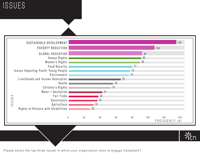### **ISSUES**



Please select the top three issues in which your organization aims to engage Canadians?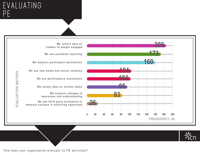#### **EVALUATING P E**





How does your organization evaluate its PE activities?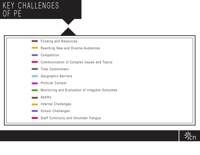#### **KEY CHALLENGES OF PE**



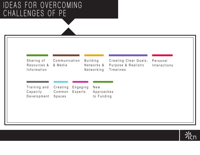#### **IDEAS FOR OVERCOMING CHALLENGES OF PE**

| Timelines<br>Networking<br>Information                                             | Sharing of<br>Resources & | Communication<br>& Media |  | <b>Building</b><br>Networks & | Creating Clear Goals,<br>Purpose & Realistic | Personal<br>Interactions |
|------------------------------------------------------------------------------------|---------------------------|--------------------------|--|-------------------------------|----------------------------------------------|--------------------------|
|                                                                                    |                           |                          |  |                               |                                              |                          |
|                                                                                    |                           |                          |  |                               |                                              |                          |
| Training and<br>Creating<br>Engaging<br>New                                        |                           |                          |  |                               |                                              |                          |
| Capacity<br>Experts<br>Approaches<br>Common<br>Development<br>to Funding<br>Spaces |                           |                          |  |                               |                                              |                          |

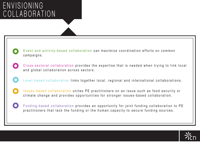#### **ENVISIONING COLLABORATION**



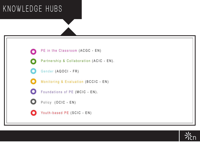# **KNOWLEDGE HUBS**